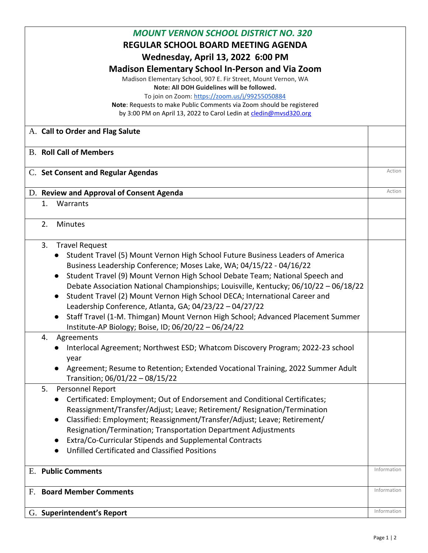| <b>MOUNT VERNON SCHOOL DISTRICT NO. 320</b>                                                                            |             |  |
|------------------------------------------------------------------------------------------------------------------------|-------------|--|
| <b>REGULAR SCHOOL BOARD MEETING AGENDA</b>                                                                             |             |  |
|                                                                                                                        |             |  |
| <b>Wednesday, April 13, 2022 6:00 PM</b>                                                                               |             |  |
| <b>Madison Elementary School In-Person and Via Zoom</b>                                                                |             |  |
| Madison Elementary School, 907 E. Fir Street, Mount Vernon, WA                                                         |             |  |
| Note: All DOH Guidelines will be followed.                                                                             |             |  |
| To join on Zoom: https://zoom.us/j/99255050884<br>Note: Requests to make Public Comments via Zoom should be registered |             |  |
| by 3:00 PM on April 13, 2022 to Carol Ledin at cledin@mvsd320.org                                                      |             |  |
|                                                                                                                        |             |  |
| A. Call to Order and Flag Salute                                                                                       |             |  |
| <b>B. Roll Call of Members</b>                                                                                         |             |  |
| C. Set Consent and Regular Agendas                                                                                     | Action      |  |
|                                                                                                                        |             |  |
| D. Review and Approval of Consent Agenda                                                                               | Action      |  |
| 1.<br>Warrants                                                                                                         |             |  |
| 2.<br><b>Minutes</b>                                                                                                   |             |  |
|                                                                                                                        |             |  |
| 3.<br><b>Travel Request</b>                                                                                            |             |  |
| Student Travel (5) Mount Vernon High School Future Business Leaders of America                                         |             |  |
| Business Leadership Conference; Moses Lake, WA; 04/15/22 - 04/16/22                                                    |             |  |
| Student Travel (9) Mount Vernon High School Debate Team; National Speech and                                           |             |  |
| Debate Association National Championships; Louisville, Kentucky; 06/10/22 - 06/18/22                                   |             |  |
| Student Travel (2) Mount Vernon High School DECA; International Career and<br>$\bullet$                                |             |  |
| Leadership Conference, Atlanta, GA; 04/23/22 - 04/27/22                                                                |             |  |
| Staff Travel (1-M. Thimgan) Mount Vernon High School; Advanced Placement Summer                                        |             |  |
| Institute-AP Biology; Boise, ID; 06/20/22 - 06/24/22                                                                   |             |  |
| 4.<br>Agreements                                                                                                       |             |  |
| Interlocal Agreement; Northwest ESD; Whatcom Discovery Program; 2022-23 school                                         |             |  |
| year                                                                                                                   |             |  |
| Agreement; Resume to Retention; Extended Vocational Training, 2022 Summer Adult<br>$\bullet$                           |             |  |
| Transition; 06/01/22 - 08/15/22                                                                                        |             |  |
| 5.<br>Personnel Report                                                                                                 |             |  |
| Certificated: Employment; Out of Endorsement and Conditional Certificates;                                             |             |  |
| Reassignment/Transfer/Adjust; Leave; Retirement/ Resignation/Termination                                               |             |  |
| Classified: Employment; Reassignment/Transfer/Adjust; Leave; Retirement/<br>$\bullet$                                  |             |  |
| Resignation/Termination; Transportation Department Adjustments                                                         |             |  |
| Extra/Co-Curricular Stipends and Supplemental Contracts<br>$\bullet$                                                   |             |  |
| <b>Unfilled Certificated and Classified Positions</b>                                                                  |             |  |
|                                                                                                                        |             |  |
| E. Public Comments                                                                                                     | Information |  |
| F. Board Member Comments                                                                                               | Information |  |
|                                                                                                                        |             |  |
| G. Superintendent's Report                                                                                             | Information |  |